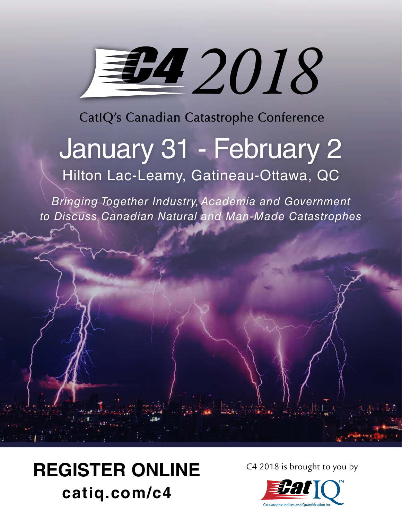# *2018*

CatIQ's Canadian Catastrophe Conference

# January 31 - February 2 Hilton Lac-Leamy, Gatineau-Ottawa, QC

*Bringing Together Industry, Academia and Government to Discuss Canadian Natural and Man-Made Catastrophes*

# REGISTER ONLINE C4 2018 is brought to you by **catiq.com/c4**

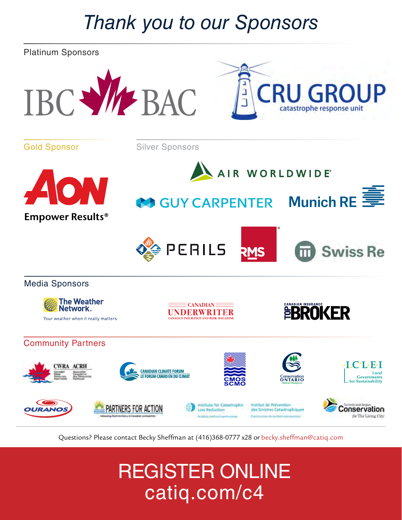### *Thank you to our Sponsors*



Questions? Please contact Becky Sheffman at (416)368-0777 x28 or becky.sheffman@catiq.com

# REGISTER ONLINE catiq.com/c4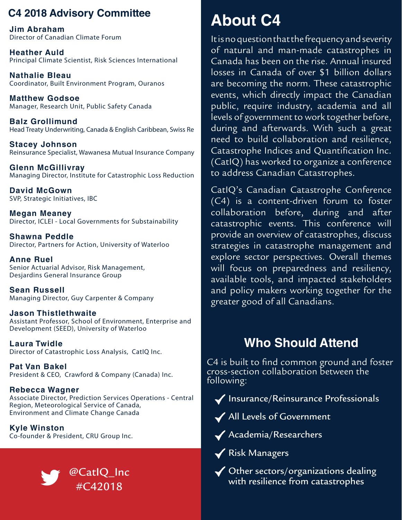### **C4 2018 Advisory Committee**

**Jim Abraham** Director of Canadian Climate Forum

**Heather Auld** Principal Climate Scientist, Risk Sciences International

**Nathalie Bleau** Coordinator, Built Environment Program, Ouranos

**Matthew Godsoe** Manager, Research Unit, Public Safety Canada

**Balz Grollimund** Head Treaty Underwriting, Canada & English Caribbean, Swiss Re

**Stacey Johnson** Reinsurance Specialist, Wawanesa Mutual Insurance Company

**Glenn McGillivray** Managing Director, Institute for Catastrophic Loss Reduction

**David McGown** SVP, Strategic Initiatives, IBC

**Megan Meaney** Director, ICLEI - Local Governments for Substainability

**Shawna Peddle** Director, Partners for Action, University of Waterloo

**Anne Ruel** Senior Actuarial Advisor, Risk Management, Desjardins General Insurance Group

**Sean Russell** Managing Director, Guy Carpenter & Company

**Jason Thistlethwaite** Assistant Professor, School of Environment, Enterprise and Development (SEED), University of Waterloo

**Laura Twidle** Director of Catastrophic Loss Analysis, CatIQ Inc.

**Pat Van Bakel** President & CEO, Crawford & Company (Canada) Inc.

**Rebecca Wagner** Associate Director, Prediction Services Operations - Central Region, Meteorological Service of Canada, Environment and Climate Change Canada

**Kyle Winston** Co-founder & President, CRU Group Inc.



### **About C4**

It is no question that the frequency and severity of natural and man-made catastrophes in Canada has been on the rise. Annual insured losses in Canada of over \$1 billion dollars are becoming the norm. These catastrophic events, which directly impact the Canadian public, require industry, academia and all levels of government to work together before, during and afterwards. With such a great need to build collaboration and resilience, Catastrophe Indices and Quantification Inc. (CatIQ) has worked to organize a conference to address Canadian Catastrophes.

CatIQ's Canadian Catastrophe Conference (C4) is a content-driven forum to foster collaboration before, during and after catastrophic events. This conference will provide an overview of catastrophes, discuss strategies in catastrophe management and explore sector perspectives. Overall themes will focus on preparedness and resiliency, available tools, and impacted stakeholders and policy makers working together for the greater good of all Canadians.

### **Who Should Attend**

C4 is built to find common ground and foster cross-section collaboration between the following:

 $\blacklozenge$  Insurance/Reinsurance Professionals

All Levels of Government

Academia/Researchers

◆ Risk Managers

◆ Other sectors/organizations dealing  $\mathcal{C}_{\text{act}}$  at IQ\_Inc  $\mathcal{C}_{\text{act}}$  and  $\mathcal{C}_{\text{act}}$  and  $\mathcal{C}_{\text{act}}$  and  $\mathcal{C}_{\text{act}}$  and  $\mathcal{C}_{\text{act}}$  and  $\mathcal{C}_{\text{act}}$  and  $\mathcal{C}_{\text{act}}$  and  $\mathcal{C}_{\text{act}}$  and  $\mathcal{C}_{\text{act}}$  and  $\mathcal{C}_{\text{act}}$  and  $\mathcal{C}_{\text{act}}$  and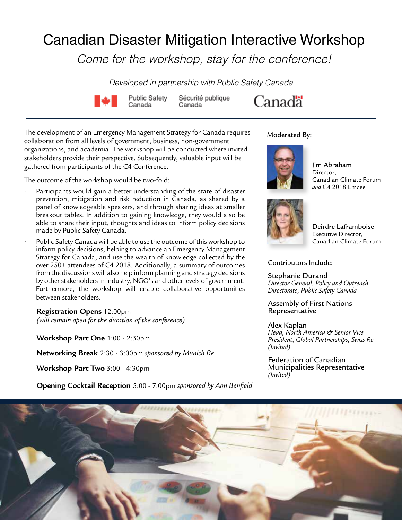### Canadian Disaster Mitigation Interactive Workshop

*Come for the workshop, stay for the conference!*

*Developed in partnership with Public Safety Canada*



Sécurité publique Canada



The development of an Emergency Management Strategy for Canada requires collaboration from all levels of government, business, non-government organizations, and academia. The workshop will be conducted where invited stakeholders provide their perspective. Subsequently, valuable input will be gathered from participants of the C4 Conference.

The outcome of the workshop would be two-fold:

- Participants would gain a better understanding of the state of disaster prevention, mitigation and risk reduction in Canada, as shared by a panel of knowledgeable speakers, and through sharing ideas at smaller breakout tables. In addition to gaining knowledge, they would also be able to share their input, thoughts and ideas to inform policy decisions made by Public Safety Canada.
- Public Safety Canada will be able to use the outcome of this workshop to inform policy decisions, helping to advance an Emergency Management Strategy for Canada, and use the wealth of knowledge collected by the over 250+ attendees of C4 2018. Additionally, a summary of outcomes from the discussions will also help inform planning and strategy decisions by other stakeholders in industry, NGO's and other levels of government. Furthermore, the workshop will enable collaborative opportunities between stakeholders.

**Registration Opens** 12:00pm *(will remain open for the duration of the conference)*

**Workshop Part One** 1:00 - 2:30pm

**Networking Break** 2:30 - 3:00pm *sponsored by Munich Re*

**Workshop Part Two** 3:00 - 4:30pm

**Opening Cocktail Reception** 5:00 - 7:00pm *sponsored by Aon Benfield*

#### Moderated By:



Jim Abraham **Director** Canadian Climate Forum *and* C4 2018 Emcee



Deirdre Laframboise Executive Director, Canadian Climate Forum

#### Contributors Include:

Stephanie Durand *Director General, Policy and Outreach Directorate, Public Safety Canada*

Assembly of First Nations **Representative** 

#### Alex Kaplan

*Head, North America & Senior Vice President, Global Partnerships, Swiss Re (Invited)*

Federation of Canadian Municipalities Representative *(Invited)*

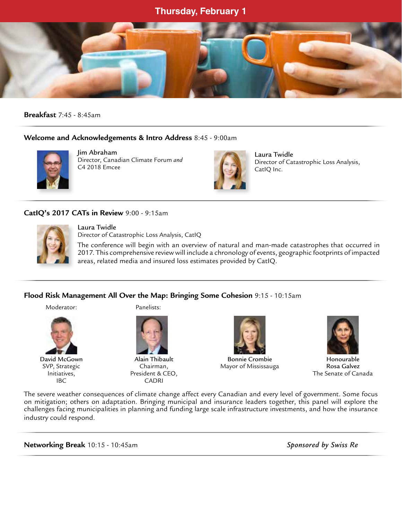#### **Thursday, February 1**



**Breakfast** 7:45 - 8:45am

#### **Welcome and Acknowledgements & Intro Address** 8:45 - 9:00am



 Jim Abraham Director, Canadian Climate Forum *and*  C4 2018 Emcee



Laura Twidle Director of Catastrophic Loss Analysis, CatIQ Inc.

#### **CatIQ's 2017 CATs in Review** 9:00 - 9:15am



Laura Twidle Director of Catastrophic Loss Analysis, CatIQ

The conference will begin with an overview of natural and man-made catastrophes that occurred in 2017. This comprehensive review will include a chronology of events, geographic footprints of impacted areas, related media and insured loss estimates provided by CatIQ.

#### **Flood Risk Management All Over the Map: Bringing Some Cohesion** 9:15 - 10:15am

Moderator: Panelists:



IBC CADRI





 David McGown Alain Thibault Bonnie Crombie Honourable SVP, Strategic Chairman, Chairman, Mayor of Mississauga Rosa Galvez



Initiatives, President & CEO, The Senate of Canada

The severe weather consequences of climate change affect every Canadian and every level of government. Some focus on mitigation; others on adaptation. Bringing municipal and insurance leaders together, this panel will explore the challenges facing municipalities in planning and funding large scale infrastructure investments, and how the insurance industry could respond.

**Networking Break** 10:15 - 10:45am *Sponsored by Swiss Re*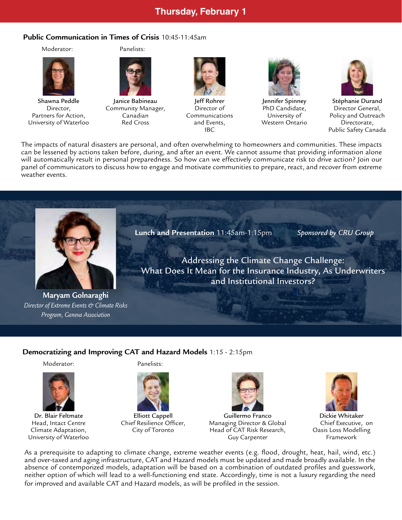#### **Thursday, February 1**

#### **Public Communication in Times of Crisis** 10:45-11:45am



University of Waterloo Red Cross and Events, Western Ontario Directorate,

Moderator: Panelists:



Director, Community Manager, Director of







Shawna Peddle Janice Babineau Jeff Rohrer Jennifer Spinney Stéphanie Durand<br>Director, Community Manager, Director of PhD Candidate, Director General, Partners for Action, Canadian Communications University of Policy and Outreach IBC **Public Safety Canada** 

The impacts of natural disasters are personal, and often overwhelming to homeowners and communities. These impacts can be lessened by actions taken before, during, and after an event. We cannot assume that providing information alone will automatically result in personal preparedness. So how can we effectively communicate risk to drive action? Join our panel of communicators to discuss how to engage and motivate communities to prepare, react, and recover from extreme weather events.



**Lunch and Presentation** 11:45am-1:15pm *Sponsored by CRU Group*

Addressing the Climate Change Challenge: What Does It Mean for the Insurance Industry, As Underwriters and Institutional Investors?

**Maryam Golnaraghi** *Director of Extreme Events & Climate Risks Program, Geneva Association* 

**Democratizing and Improving CAT and Hazard Models** 1:15 - 2:15pm

Moderator: Panelists:







Dr. Blair Feltmate Elliott Cappell Guillermo Franco Dickie Whitaker Head, Intact Centre Chief Resilience Officer, Managing Director & Global Chief Executive, on Climate Adaptation, City of Toronto Head of CAT Risk Research, Oasis Loss Modelling University of Waterloo Guy Carpenter Framework



As a prerequisite to adapting to climate change, extreme weather events (e.g. flood, drought, heat, hail, wind, etc.) and over-taxed and aging infrastructure, CAT and Hazard models must be updated and made broadly available. In the absence of contemporized models, adaptation will be based on a combination of outdated profiles and guesswork, neither option of which will lead to a well-functioning end state. Accordingly, time is not a luxury regarding the need for improved and available CAT and Hazard models, as will be profiled in the session.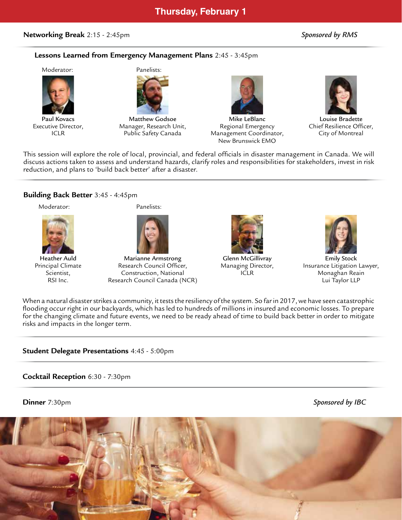#### **Networking Break** 2:15 - 2:45pm *Sponsored by RMS*

#### **Lessons Learned from Emergency Management Plans** 2:45 - 3:45pm

#### Moderator: Panelists:









Paul Kovacs Matthew Godsoe Mike LeBlanc Louise Bradette Executive Director, **Manager, Research Unit,** Regional Emergency Chief Resilience Officer, ICLR **Public Safety Canada** Management Coordinator, City of Montreal New Brunswick EMO



This session will explore the role of local, provincial, and federal officials in disaster management in Canada. We will discuss actions taken to assess and understand hazards, clarify roles and responsibilities for stakeholders, invest in risk reduction, and plans to 'build back better' after a disaster.

#### **Building Back Better** 3:45 - 4:45pm

Moderator: Panelists:







Heather Auld Marianne Armstrong Glenn McGillivray Emily Stock Principal Climate **Research Council Officer,** Managing Director, Insurance Litigation Lawyer, Scientist, Construction, National ICLR Monaghan Reain Research Council Canada (NCR) and the council Canada (NCR) and the council Canada (NCR) and the council Canada (





When a natural disaster strikes a community, it tests the resiliency of the system. So far in 2017, we have seen catastrophic flooding occur right in our backyards, which has led to hundreds of millions in insured and economic losses. To prepare for the changing climate and future events, we need to be ready ahead of time to build back better in order to mitigate risks and impacts in the longer term.

#### **Student Delegate Presentations** 4:45 - 5:00pm

#### **Cocktail Reception** 6:30 - 7:30pm

**Dinner** 7:30pm *Sponsored by IBC*

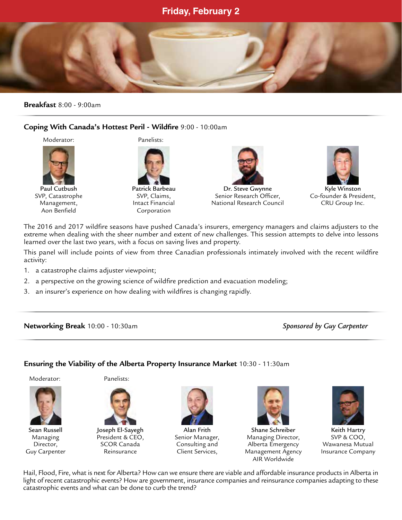#### **Friday, February 2**

#### **Breakfast** 8:00 - 9:00am

#### **Coping With Canada's Hottest Peril - Wildfire** 9:00 - 10:00am

Moderator: Panelists:

 $\overline{\phantom{a}}$ 



Aon Benfield Corporation





Paul Cutbush Patrick Barbeau Dr. Steve Gwynne Kyle Winston SVP, Catastrophe SVP, Claims, Superior Research Officer, Co-founder & President, Management, **Intact Financial** National Research Council CRU Group Inc.



The 2016 and 2017 wildfire seasons have pushed Canada's insurers, emergency managers and claims adjusters to the extreme when dealing with the sheer number and extent of new challenges. This session attempts to delve into lessons learned over the last two years, with a focus on saving lives and property.

This panel will include points of view from three Canadian professionals intimately involved with the recent wildfire activity:

- 1. a catastrophe claims adjuster viewpoint;
- 2. a perspective on the growing science of wildfire prediction and evacuation modeling;
- 3. an insurer's experience on how dealing with wildfires is changing rapidly.

**Networking Break** 10:00 - 10:30am *Sponsored by Guy Carpenter*

#### **Ensuring the Viability of the Alberta Property Insurance Market** 10:30 - 11:30am



Moderator: Panelists:





Sean Russell Joseph El-Sayegh Alan Frith Shane Schreiber Keith Hartry Managing President & CEO, Senior Manager, Managing Director, SCOR Canada Consulting and Alberta Emergency Director, SCOR Canada Consulting and Alberta Emergency Wawanesa Mutual Guy Carpenter Reinsurance Client Services, Management Agency Insurance Company AIR Worldwide



Hail, Flood, Fire, what is next for Alberta? How can we ensure there are viable and affordable insurance products in Alberta in light of recent catastrophic events? How are government, insurance companies and reinsurance companies adapting to these catastrophic events and what can be done to curb the trend?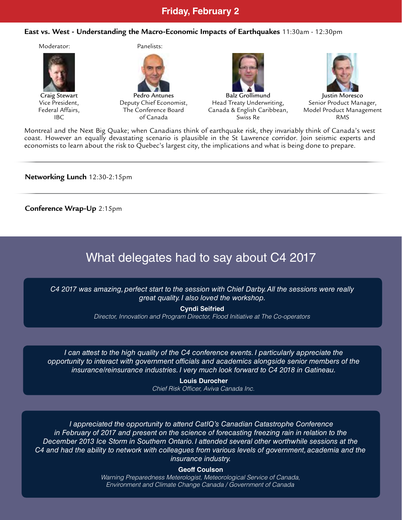#### **Friday, February 2**

#### **East vs. West - Understanding the Macro-Economic Impacts of Earthquakes** 11:30am - 12:30pm



Montreal and the Next Big Quake; when Canadians think of earthquake risk, they invariably think of Canada's west coast. However an equally devastating scenario is plausible in the St Lawrence corridor. Join seismic experts and economists to learn about the risk to Quebec's largest city, the implications and what is being done to prepare.

**Networking Lunch** 12:30-2:15pm

**Conference Wrap-Up** 2:15pm

### What delegates had to say about C4 2017

*C4 2017 was amazing, perfect start to the session with Chief Darby. All the sessions were really great quality. I also loved the workshop.*

> **Cyndi Seifried** *Director, Innovation and Program Director, Flood Initiative at The Co-operators*

*I* can attest to the high quality of the C4 conference events. *I particularly appreciate the opportunity to interact with government officials and academics alongside senior members of the insurance/reinsurance industries. I very much look forward to C4 2018 in Gatineau.*

> **Louis Durocher** *Chief Risk Officer, Aviva Canada Inc.*

*I appreciated the opportunity to attend CatIQ's Canadian Catastrophe Conference in February of 2017 and present on the science of forecasting freezing rain in relation to the December 2013 Ice Storm in Southern Ontario. I attended several other worthwhile sessions at the C4 and had the ability to network with colleagues from various levels of government, academia and the insurance industry.*

#### **Geoff Coulson**

*Warning Preparedness Meterologist, Meteorological Service of Canada, Environment and Climate Change Canada / Government of Canada*